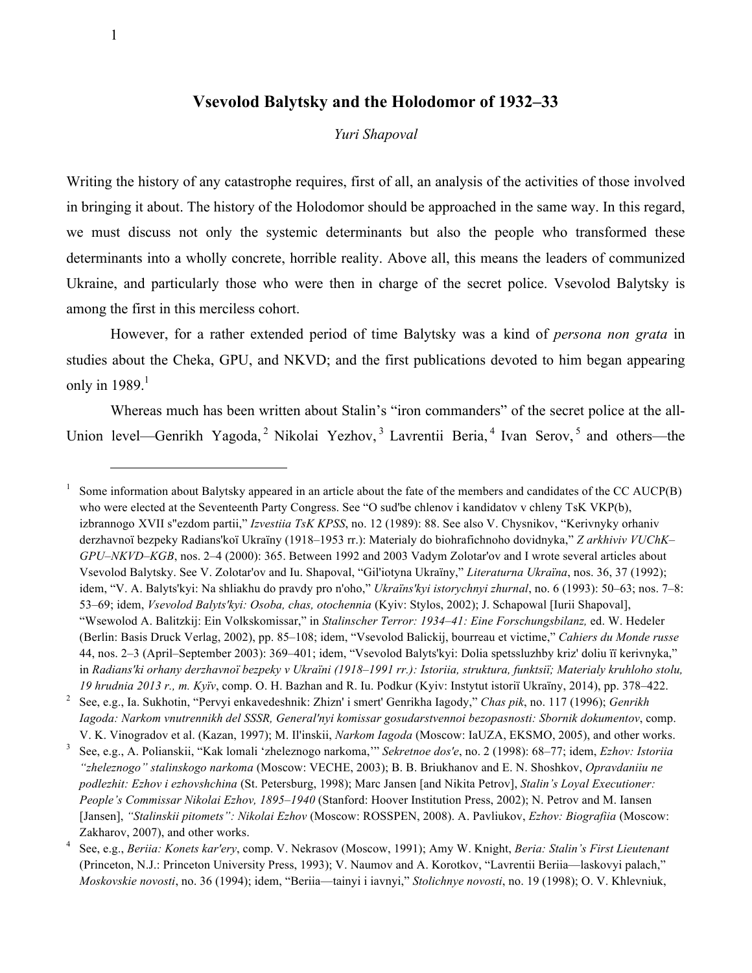## **Vsevolod Balytsky and the Holodomor of 1932–33**

## *Yuri Shapoval*

Writing the history of any catastrophe requires, first of all, an analysis of the activities of those involved in bringing it about. The history of the Holodomor should be approached in the same way. In this regard, we must discuss not only the systemic determinants but also the people who transformed these determinants into a wholly concrete, horrible reality. Above all, this means the leaders of communized Ukraine, and particularly those who were then in charge of the secret police. Vsevolod Balytsky is among the first in this merciless cohort.

However, for a rather extended period of time Balytsky was a kind of *persona non grata* in studies about the Cheka, GPU, and NKVD; and the first publications devoted to him began appearing only in  $1989.<sup>1</sup>$ 

Whereas much has been written about Stalin's "iron commanders" of the secret police at the all-Union level—Genrikh Yagoda,<sup>2</sup> Nikolai Yezhov,<sup>3</sup> Lavrentii Beria,<sup>4</sup> Ivan Serov,<sup>5</sup> and others—the

1 Some information about Balytsky appeared in an article about the fate of the members and candidates of the CC AUCP(B) who were elected at the Seventeenth Party Congress. See "O sud'be chlenov i kandidatov v chleny TsK VKP(b), izbrannogo XVII s"ezdom partii," *Izvestiia TsK KPSS*, no. 12 (1989): 88. See also V. Chysnikov, "Kerivnyky orhaniv derzhavnoї bezpeky Radians'koї Ukraїny (1918–1953 rr.): Materialy do biohrafichnoho dovidnyka," *Z arkhiviv VUChK– GPU–NKVD–KGB*, nos. 2–4 (2000): 365. Between 1992 and 2003 Vadym Zolotar'ov and I wrote several articles about Vsevolod Balytsky. See V. Zolotar'ov and Iu. Shapoval, "Gil'iotyna Ukraїny," *Literaturna Ukraїna*, nos. 36, 37 (1992); idem, "V. A. Balyts'kyi: Na shliakhu do pravdy pro n'oho," *Ukraїns'kyi istorychnyi zhurnal*, no. 6 (1993): 50–63; nos. 7–8: 53–69; idem, *Vsevolod Balyts'kyi: Osoba, chas, otochennia* (Kyiv: Stylos, 2002); J. Schapowal [Iurii Shapoval], "Wsewolod A. Balitzkij: Ein Volkskomissar," in *Stalinscher Terror: 1934–41: Eine Forschungsbilanz,* ed. W. Hedeler (Berlin: Basis Druck Verlag, 2002), pp. 85–108; idem, "Vsevolod Balickij, bourreau et victime," *Cahiers du Monde russe* 44, nos. 2–3 (April–September 2003): 369–401; idem, "Vsevolod Balyts'kyi: Dolia spetssluzhby kriz' doliu її kerivnyka," in *Radians'ki orhany derzhavnoї bezpeky v Ukraїni (1918–1991 rr.): Istoriia, struktura, funktsiї; Materialy kruhloho stolu, 19 hrudnia 2013 r., m. Kyїv*, comp. O. H. Bazhan and R. Iu. Podkur (Kyiv: Instytut istoriї Ukraїny, 2014), pp. 378–422.

2 See, e.g., Ia. Sukhotin, "Pervyi enkavedeshnik: Zhizn' i smert' Genrikha Iagody," *Chas pik*, no. 117 (1996); *Genrikh Iagoda: Narkom vnutrennikh del SSSR, General'nyi komissar gosudarstvennoi bezopasnosti: Sbornik dokumentov*, comp. V. K. Vinogradov et al. (Kazan, 1997); M. Il'inskii, *Narkom Iagoda* (Moscow: IaUZA, EKSMO, 2005), and other works.

3 See, e.g., A. Polianskii, "Kak lomali 'zheleznogo narkoma,'" *Sekretnoe dos'e*, no. 2 (1998): 68–77; idem, *Ezhov: Istoriia "zheleznogo" stalinskogo narkoma* (Moscow: VECHE, 2003); B. B. Briukhanov and E. N. Shoshkov, *Opravdaniiu ne podlezhit: Ezhov i ezhovshchina* (St. Petersburg, 1998); Marc Jansen [and Nikita Petrov], *Stalin's Loyal Executioner: People's Commissar Nikolai Ezhov, 1895–1940* (Stanford: Hoover Institution Press, 2002); N. Petrov and M. Iansen [Jansen], *"Stalinskii pitomets": Nikolai Ezhov* (Moscow: ROSSPEN, 2008). A. Pavliukov, *Ezhov: Biografiia* (Moscow: Zakharov, 2007), and other works.

<sup>4</sup> See, e.g., *Beriia: Konets kar'ery*, comp. V. Nekrasov (Moscow, 1991); Amy W. Knight, *Beria: Stalin's First Lieutenant* (Princeton, N.J.: Princeton University Press, 1993); V. Naumov and A. Korotkov, "Lavrentii Beriia—laskovyi palach," *Moskovskie novosti*, no. 36 (1994); idem, "Beriia—tainyi i iavnyi," *Stolichnye novosti*, no. 19 (1998); O. V. Khlevniuk,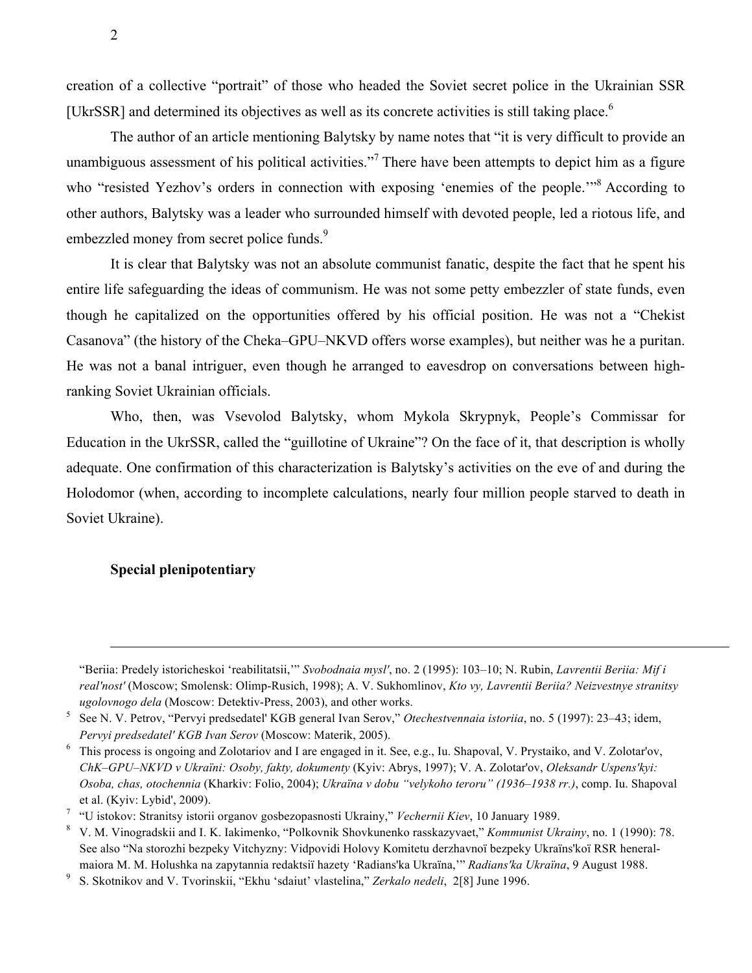creation of a collective "portrait" of those who headed the Soviet secret police in the Ukrainian SSR [UkrSSR] and determined its objectives as well as its concrete activities is still taking place.<sup>6</sup>

The author of an article mentioning Balytsky by name notes that "it is very difficult to provide an unambiguous assessment of his political activities."<sup>7</sup> There have been attempts to depict him as a figure who "resisted Yezhov's orders in connection with exposing 'enemies of the people."<sup>8</sup> According to other authors, Balytsky was a leader who surrounded himself with devoted people, led a riotous life, and embezzled money from secret police funds.<sup>9</sup>

It is clear that Balytsky was not an absolute communist fanatic, despite the fact that he spent his entire life safeguarding the ideas of communism. He was not some petty embezzler of state funds, even though he capitalized on the opportunities offered by his official position. He was not a "Chekist Casanova" (the history of the Cheka–GPU–NKVD offers worse examples), but neither was he a puritan. He was not a banal intriguer, even though he arranged to eavesdrop on conversations between highranking Soviet Ukrainian officials.

Who, then, was Vsevolod Balytsky, whom Mykola Skrypnyk, People's Commissar for Education in the UkrSSR, called the "guillotine of Ukraine"? On the face of it, that description is wholly adequate. One confirmation of this characterization is Balytsky's activities on the eve of and during the Holodomor (when, according to incomplete calculations, nearly four million people starved to death in Soviet Ukraine).

## **Special plenipotentiary**

<sup>&</sup>quot;Beriia: Predely istoricheskoi 'reabilitatsii,'" *Svobodnaia mysl'*, no. 2 (1995): 103–10; N. Rubin, *Lavrentii Beriia: Mif i real'nost'* (Moscow; Smolensk: Olimp-Rusich, 1998); A. V. Sukhomlinov, *Kto vy, Lavrentii Beriia? Neizvestnye stranitsy ugolovnogo dela* (Moscow: Detektiv-Press, 2003), and other works.

<sup>5</sup> See N. V. Petrov, "Pervyi predsedatel' KGB general Ivan Serov," *Otechestvennaia istoriia*, no. 5 (1997): 23–43; idem, *Pervyi predsedatel' KGB Ivan Serov* (Moscow: Materik, 2005).

<sup>6</sup> This process is ongoing and Zolotariov and I are engaged in it. See, e.g., Iu. Shapoval, V. Prystaiko, and V. Zolotar'ov, *ChK–GPU–NKVD v Ukraїni: Osoby, fakty, dokumenty* (Kyiv: Abrys, 1997); V. A. Zolotar'ov, *Oleksandr Uspens'kyi: Osoba, chas, otochennia* (Kharkiv: Folio, 2004); *Ukraїna v dobu "velykoho teroru" (1936–1938 rr.)*, comp. Iu. Shapoval et al. (Kyiv: Lybid', 2009).

<sup>7</sup> "U istokov: Stranitsy istorii organov gosbezopasnosti Ukrainy," *Vechernii Kiev*, 10 January 1989.

<sup>8</sup> V. M. Vinogradskii and I. K. Iakimenko, "Polkovnik Shovkunenko rasskazyvaet," *Kommunist Ukrainy*, no. 1 (1990): 78. See also "Na storozhi bezpeky Vitchyzny: Vidpovidi Holovy Komitetu derzhavnoї bezpeky Ukraїns'koї RSR heneralmaiora M. M. Holushka na zapytannia redaktsiї hazety 'Radians'ka Ukraїna,'" *Radians'ka Ukraїna*, 9 August 1988.

<sup>9</sup> S. Skotnikov and V. Tvorinskii, "Ekhu 'sdaiut' vlastelina," *Zerkalo nedeli*, 2[8] June 1996.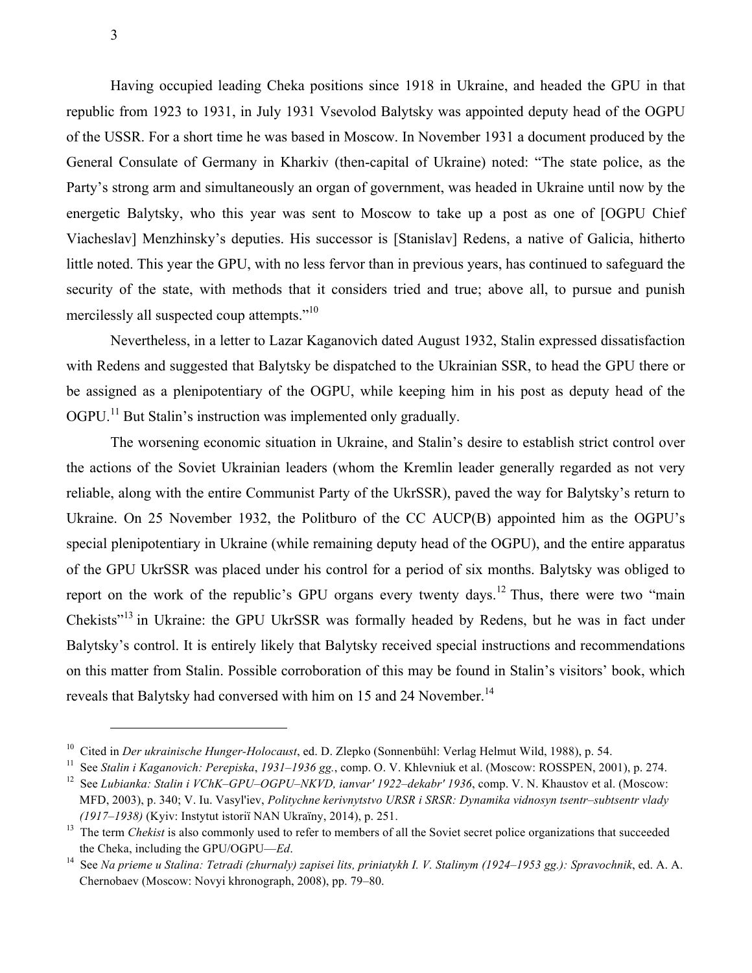Having occupied leading Cheka positions since 1918 in Ukraine, and headed the GPU in that republic from 1923 to 1931, in July 1931 Vsevolod Balytsky was appointed deputy head of the OGPU of the USSR. For a short time he was based in Moscow. In November 1931 a document produced by the General Consulate of Germany in Kharkiv (then-capital of Ukraine) noted: "The state police, as the Party's strong arm and simultaneously an organ of government, was headed in Ukraine until now by the energetic Balytsky, who this year was sent to Moscow to take up a post as one of [OGPU Chief Viacheslav] Menzhinsky's deputies. His successor is [Stanislav] Redens, a native of Galicia, hitherto little noted. This year the GPU, with no less fervor than in previous years, has continued to safeguard the security of the state, with methods that it considers tried and true; above all, to pursue and punish mercilessly all suspected coup attempts."<sup>10</sup>

Nevertheless, in a letter to Lazar Kaganovich dated August 1932, Stalin expressed dissatisfaction with Redens and suggested that Balytsky be dispatched to the Ukrainian SSR, to head the GPU there or be assigned as a plenipotentiary of the OGPU, while keeping him in his post as deputy head of the OGPU.<sup>11</sup> But Stalin's instruction was implemented only gradually.

The worsening economic situation in Ukraine, and Stalin's desire to establish strict control over the actions of the Soviet Ukrainian leaders (whom the Kremlin leader generally regarded as not very reliable, along with the entire Communist Party of the UkrSSR), paved the way for Balytsky's return to Ukraine. On 25 November 1932, the Politburo of the CC AUCP(B) appointed him as the OGPU's special plenipotentiary in Ukraine (while remaining deputy head of the OGPU), and the entire apparatus of the GPU UkrSSR was placed under his control for a period of six months. Balytsky was obliged to report on the work of the republic's GPU organs every twenty days.<sup>12</sup> Thus, there were two "main" Chekists"<sup>13</sup> in Ukraine: the GPU UkrSSR was formally headed by Redens, but he was in fact under Balytsky's control. It is entirely likely that Balytsky received special instructions and recommendations on this matter from Stalin. Possible corroboration of this may be found in Stalin's visitors' book, which reveals that Balytsky had conversed with him on 15 and 24 November.<sup>14</sup>

<sup>&</sup>lt;sup>10</sup> Cited in *Der ukrainische Hunger-Holocaust*, ed. D. Zlepko (Sonnenbühl: Verlag Helmut Wild, 1988), p. 54.<br><sup>11</sup> See *Stalin i Kaganovich: Perepiska, 1931–1936 gg.*, comp. O. V. Khlevniuk et al. (Moscow: ROSSPEN, 2001)

MFD, 2003), p. 340; V. Iu. Vasyl'iev, *Politychne kerivnytstvo URSR і SRSR: Dynamika vidnosyn tsentr–subtsentr vlady (1917–1938)* (Kyiv: Instytut istoriï NAN Ukraïny, 2014), p. 251.<br><sup>13</sup> The term *Chekist* is also commonly used to refer to members of all the Soviet secret police organizations that succeeded

the Cheka, including the GPU/OGPU—*Ed*.

<sup>14</sup> See *Na prieme u Stalina: Tetradi (zhurnaly) zapisei lits, priniatykh I. V. Stalinym (1924–1953 gg.): Spravochnik*, ed. A. A. Chernobaev (Moscow: Novyi khronograph, 2008), pp. 79–80.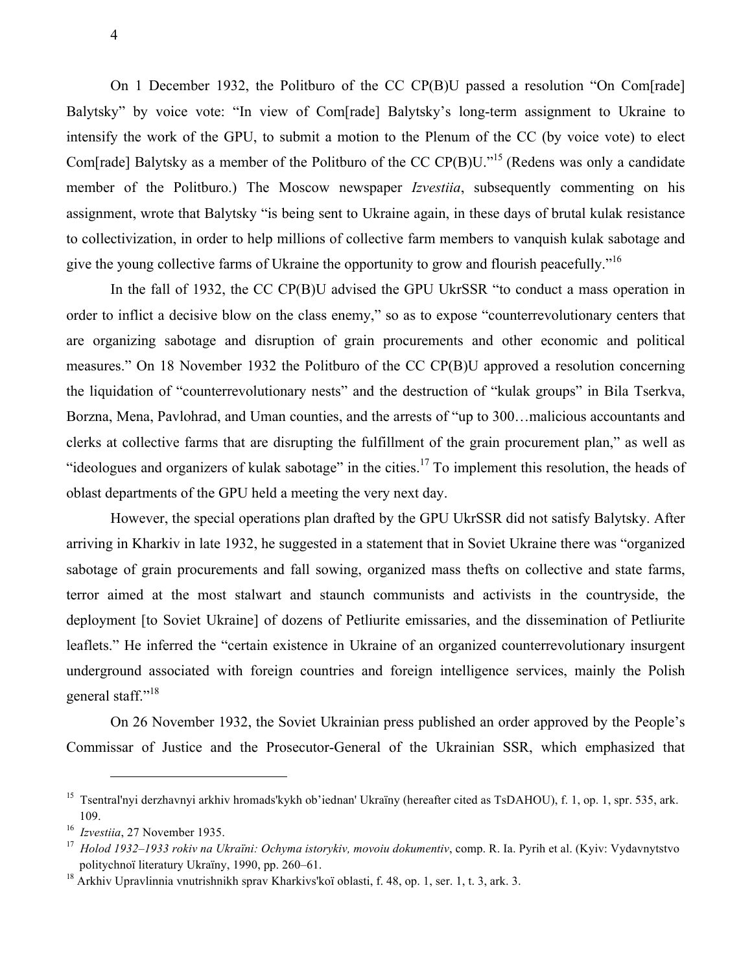On 1 December 1932, the Politburo of the CC CP(B)U passed a resolution "On Com[rade] Balytsky" by voice vote: "In view of Com[rade] Balytsky's long-term assignment to Ukraine to intensify the work of the GPU, to submit a motion to the Plenum of the CC (by voice vote) to elect Com[rade] Balytsky as a member of the Politburo of the CC CP(B)U."<sup>15</sup> (Redens was only a candidate member of the Politburo.) The Moscow newspaper *Izvestiia*, subsequently commenting on his assignment, wrote that Balytsky "is being sent to Ukraine again, in these days of brutal kulak resistance to collectivization, in order to help millions of collective farm members to vanquish kulak sabotage and give the young collective farms of Ukraine the opportunity to grow and flourish peacefully."<sup>16</sup>

In the fall of 1932, the CC CP(B)U advised the GPU UkrSSR "to conduct a mass operation in order to inflict a decisive blow on the class enemy," so as to expose "counterrevolutionary centers that are organizing sabotage and disruption of grain procurements and other economic and political measures." On 18 November 1932 the Politburo of the CC CP(B)U approved a resolution concerning the liquidation of "counterrevolutionary nests" and the destruction of "kulak groups" in Bila Tserkva, Borzna, Mena, Pavlohrad, and Uman counties, and the arrests of "up to 300…malicious accountants and clerks at collective farms that are disrupting the fulfillment of the grain procurement plan," as well as "ideologues and organizers of kulak sabotage" in the cities.<sup>17</sup> To implement this resolution, the heads of oblast departments of the GPU held a meeting the very next day.

However, the special operations plan drafted by the GPU UkrSSR did not satisfy Balytsky. After arriving in Kharkiv in late 1932, he suggested in a statement that in Soviet Ukraine there was "organized sabotage of grain procurements and fall sowing, organized mass thefts on collective and state farms, terror aimed at the most stalwart and staunch communists and activists in the countryside, the deployment [to Soviet Ukraine] of dozens of Petliurite emissaries, and the dissemination of Petliurite leaflets." He inferred the "certain existence in Ukraine of an organized counterrevolutionary insurgent underground associated with foreign countries and foreign intelligence services, mainly the Polish general staff."<sup>18</sup>

On 26 November 1932, the Soviet Ukrainian press published an order approved by the People's Commissar of Justice and the Prosecutor-General of the Ukrainian SSR, which emphasized that

<sup>&</sup>lt;sup>15</sup> Tsentral'nyi derzhavnyi arkhiv hromads'kykh ob'iednan' Ukraïny (hereafter cited as TsDAHOU), f. 1, op. 1, spr. 535, ark. 109.<br> $16$  Izvestiia, 27 November 1935.

<sup>16</sup>*Izvestiia*, 27 November 1935. 17 *Holod 1932–1933 rokiv na Ukraїni: Ochyma istorykiv, movoiu dokumentiv*, comp. R. Ia. Pyrih et al. (Kyiv: Vydavnytstvo politychnoї literatury Ukraїny, 1990, pp. 260–61.

<sup>&</sup>lt;sup>18</sup> Arkhiv Upravlinnia vnutrishnikh sprav Kharkivs'koï oblasti, f. 48, op. 1, ser. 1, t. 3, ark. 3.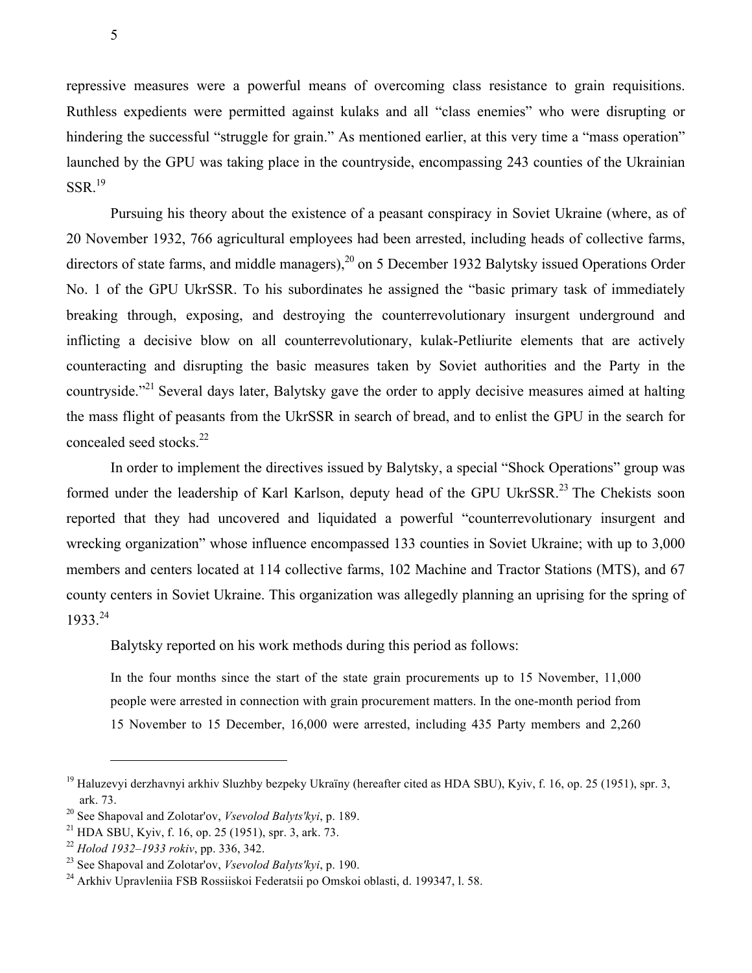repressive measures were a powerful means of overcoming class resistance to grain requisitions. Ruthless expedients were permitted against kulaks and all "class enemies" who were disrupting or hindering the successful "struggle for grain." As mentioned earlier, at this very time a "mass operation" launched by the GPU was taking place in the countryside, encompassing 243 counties of the Ukrainian  $SSR.<sup>19</sup>$ 

Pursuing his theory about the existence of a peasant conspiracy in Soviet Ukraine (where, as of 20 November 1932, 766 agricultural employees had been arrested, including heads of collective farms, directors of state farms, and middle managers),  $^{20}$  on 5 December 1932 Balytsky issued Operations Order No. 1 of the GPU UkrSSR. To his subordinates he assigned the "basic primary task of immediately breaking through, exposing, and destroying the counterrevolutionary insurgent underground and inflicting a decisive blow on all counterrevolutionary, kulak-Petliurite elements that are actively counteracting and disrupting the basic measures taken by Soviet authorities and the Party in the countryside."<sup>21</sup> Several days later, Balytsky gave the order to apply decisive measures aimed at halting the mass flight of peasants from the UkrSSR in search of bread, and to enlist the GPU in the search for concealed seed stocks. 22

In order to implement the directives issued by Balytsky, a special "Shock Operations" group was formed under the leadership of Karl Karlson, deputy head of the GPU UkrSSR.<sup>23</sup> The Chekists soon reported that they had uncovered and liquidated a powerful "counterrevolutionary insurgent and wrecking organization" whose influence encompassed 133 counties in Soviet Ukraine; with up to 3,000 members and centers located at 114 collective farms, 102 Machine and Tractor Stations (MTS), and 67 county centers in Soviet Ukraine. This organization was allegedly planning an uprising for the spring of 1933.<sup>24</sup>

Balytsky reported on his work methods during this period as follows:

In the four months since the start of the state grain procurements up to 15 November, 11,000 people were arrested in connection with grain procurement matters. In the one-month period from 15 November to 15 December, 16,000 were arrested, including 435 Party members and 2,260

<sup>&</sup>lt;sup>19</sup> Haluzevyi derzhavnyi arkhiv Sluzhby bezpeky Ukraïny (hereafter cited as HDA SBU), Kyiv, f. 16, op. 25 (1951), spr. 3, ark. 73.

<sup>20</sup> See Shapoval and Zolotar'ov, *Vsevolod Balyts'kyi*, p. 189.

<sup>21</sup> HDA SBU, Kyiv, f. 16, op. 25 (1951), spr. 3, ark. 73.

<sup>22</sup> *Holod 1932–1933 rokiv*, pp. 336, 342. 23 See Shapoval and Zolotar'ov, *Vsevolod Balyts'kyi*, p. 190.

<sup>24</sup> Arkhiv Upravleniia FSB Rossiiskoi Federatsii po Omskoi oblasti, d. 199347, l. 58.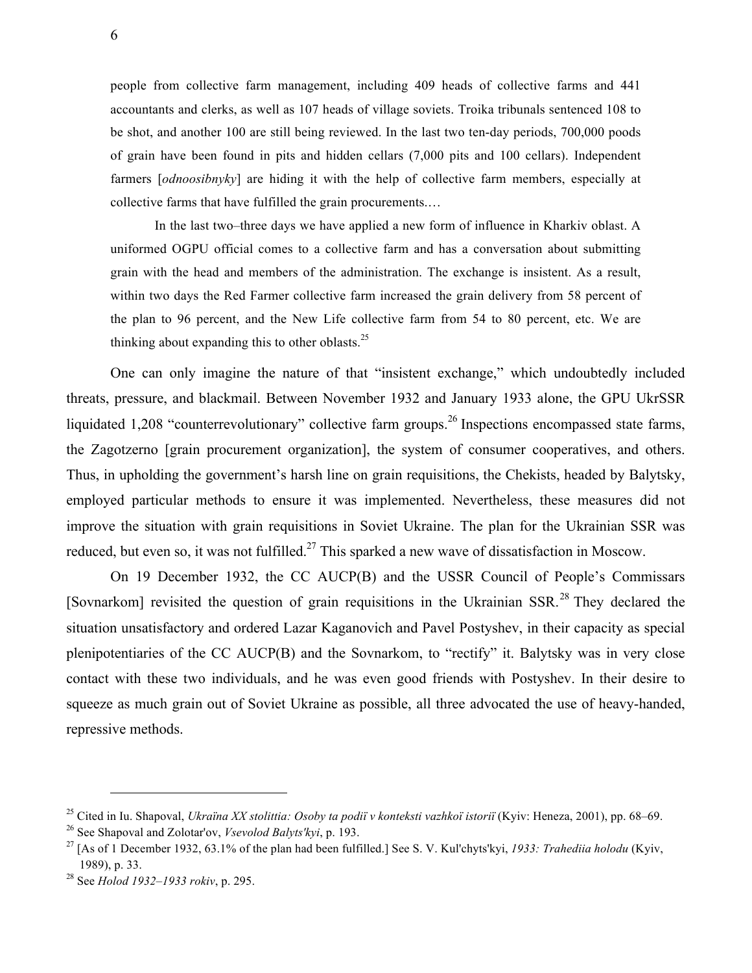people from collective farm management, including 409 heads of collective farms and 441 accountants and clerks, as well as 107 heads of village soviets. Troika tribunals sentenced 108 to be shot, and another 100 are still being reviewed. In the last two ten-day periods, 700,000 poods of grain have been found in pits and hidden cellars (7,000 pits and 100 cellars). Independent farmers [*odnoosibnyky*] are hiding it with the help of collective farm members, especially at collective farms that have fulfilled the grain procurements.…

In the last two–three days we have applied a new form of influence in Kharkiv oblast. A uniformed OGPU official comes to a collective farm and has a conversation about submitting grain with the head and members of the administration. The exchange is insistent. As a result, within two days the Red Farmer collective farm increased the grain delivery from 58 percent of the plan to 96 percent, and the New Life collective farm from 54 to 80 percent, etc. We are thinking about expanding this to other oblasts.<sup>25</sup>

One can only imagine the nature of that "insistent exchange," which undoubtedly included threats, pressure, and blackmail. Between November 1932 and January 1933 alone, the GPU UkrSSR liquidated 1,208 "counterrevolutionary" collective farm groups.<sup>26</sup> Inspections encompassed state farms, the Zagotzerno [grain procurement organization], the system of consumer cooperatives, and others. Thus, in upholding the government's harsh line on grain requisitions, the Chekists, headed by Balytsky, employed particular methods to ensure it was implemented. Nevertheless, these measures did not improve the situation with grain requisitions in Soviet Ukraine. The plan for the Ukrainian SSR was reduced, but even so, it was not fulfilled.<sup>27</sup> This sparked a new wave of dissatisfaction in Moscow.

On 19 December 1932, the CC AUCP(B) and the USSR Council of People's Commissars [Sovnarkom] revisited the question of grain requisitions in the Ukrainian SSR.<sup>28</sup> They declared the situation unsatisfactory and ordered Lazar Kaganovich and Pavel Postyshev, in their capacity as special plenipotentiaries of the CC AUCP(B) and the Sovnarkom, to "rectify" it. Balytsky was in very close contact with these two individuals, and he was even good friends with Postyshev. In their desire to squeeze as much grain out of Soviet Ukraine as possible, all three advocated the use of heavy-handed, repressive methods.

<sup>25</sup> Cited in Iu. Shapoval, *Ukraїna XX stolittia: Osoby ta podiї v konteksti vazhkoї istoriї* (Kyiv: Heneza, 2001), pp. 68–69.

<sup>26</sup> See Shapoval and Zolotar'ov, *Vsevolod Balyts'kyi*, p. 193.

<sup>27</sup> [As of 1 December 1932, 63.1% of the plan had been fulfilled.] See S. V. Kul'chyts'kyi, *1933: Trahediia holodu* (Kyiv, 1989), p. 33.

<sup>28</sup> See *Holod 1932–1933 rokiv*, p. 295.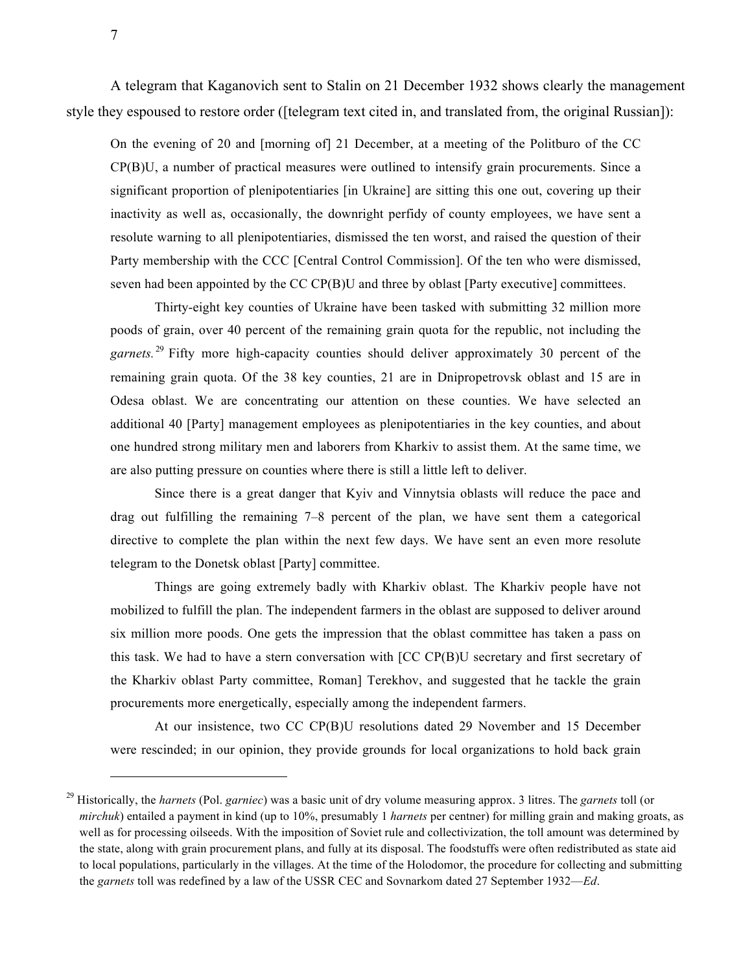A telegram that Kaganovich sent to Stalin on 21 December 1932 shows clearly the management style they espoused to restore order ([telegram text cited in, and translated from, the original Russian]):

On the evening of 20 and [morning of] 21 December, at a meeting of the Politburo of the CC CP(B)U, a number of practical measures were outlined to intensify grain procurements. Since a significant proportion of plenipotentiaries [in Ukraine] are sitting this one out, covering up their inactivity as well as, occasionally, the downright perfidy of county employees, we have sent a resolute warning to all plenipotentiaries, dismissed the ten worst, and raised the question of their Party membership with the CCC [Central Control Commission]. Of the ten who were dismissed, seven had been appointed by the CC CP(B)U and three by oblast [Party executive] committees.

Thirty-eight key counties of Ukraine have been tasked with submitting 32 million more poods of grain, over 40 percent of the remaining grain quota for the republic, not including the garnets.<sup>29</sup> Fifty more high-capacity counties should deliver approximately 30 percent of the remaining grain quota. Of the 38 key counties, 21 are in Dnipropetrovsk oblast and 15 are in Odesa oblast. We are concentrating our attention on these counties. We have selected an additional 40 [Party] management employees as plenipotentiaries in the key counties, and about one hundred strong military men and laborers from Kharkiv to assist them. At the same time, we are also putting pressure on counties where there is still a little left to deliver.

Since there is a great danger that Kyiv and Vinnytsia oblasts will reduce the pace and drag out fulfilling the remaining 7–8 percent of the plan, we have sent them a categorical directive to complete the plan within the next few days. We have sent an even more resolute telegram to the Donetsk oblast [Party] committee.

Things are going extremely badly with Kharkiv oblast. The Kharkiv people have not mobilized to fulfill the plan. The independent farmers in the oblast are supposed to deliver around six million more poods. One gets the impression that the oblast committee has taken a pass on this task. We had to have a stern conversation with [CC CP(B)U secretary and first secretary of the Kharkiv oblast Party committee, Roman] Terekhov, and suggested that he tackle the grain procurements more energetically, especially among the independent farmers.

At our insistence, two CC CP(B)U resolutions dated 29 November and 15 December were rescinded; in our opinion, they provide grounds for local organizations to hold back grain

<sup>29</sup> Historically, the *harnets* (Pol. *garniec*) was a basic unit of dry volume measuring approx. 3 litres. The *garnets* toll (or *mirchuk*) entailed a payment in kind (up to 10%, presumably 1 *harnets* per centner) for milling grain and making groats, as well as for processing oilseeds. With the imposition of Soviet rule and collectivization, the toll amount was determined by the state, along with grain procurement plans, and fully at its disposal. The foodstuffs were often redistributed as state aid to local populations, particularly in the villages. At the time of the Holodomor, the procedure for collecting and submitting the *garnets* toll was redefined by a law of the USSR CEC and Sovnarkom dated 27 September 1932—*Ed*.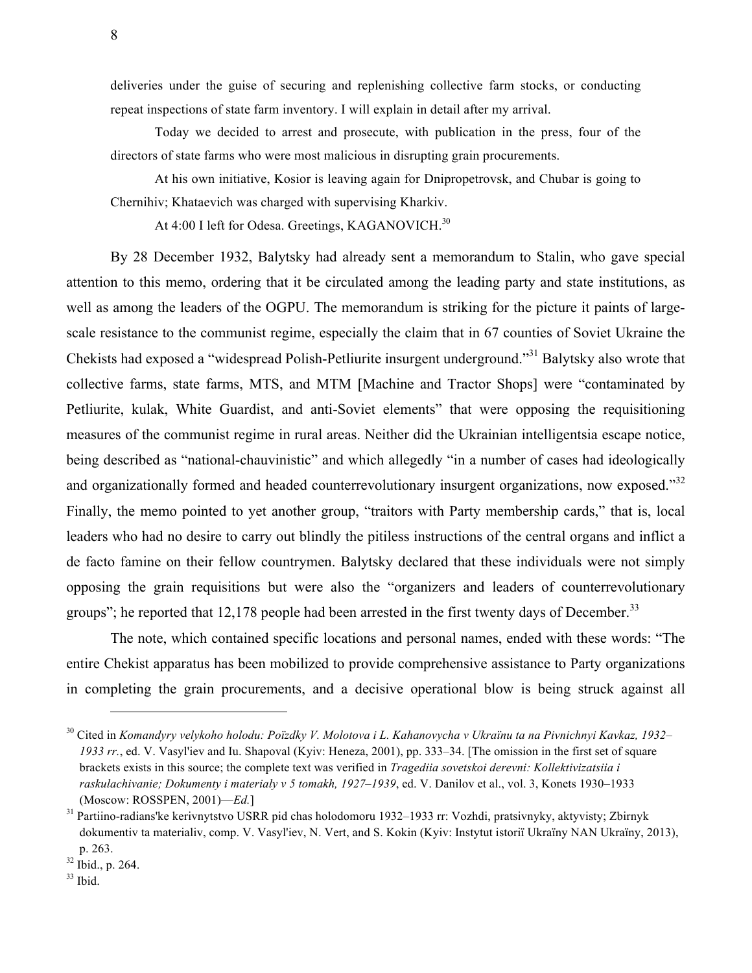deliveries under the guise of securing and replenishing collective farm stocks, or conducting repeat inspections of state farm inventory. I will explain in detail after my arrival.

Today we decided to arrest and prosecute, with publication in the press, four of the directors of state farms who were most malicious in disrupting grain procurements.

At his own initiative, Kosior is leaving again for Dnipropetrovsk, and Chubar is going to Chernihiv; Khataevich was charged with supervising Kharkiv.

At 4:00 I left for Odesa. Greetings, KAGANOVICH.<sup>30</sup>

By 28 December 1932, Balytsky had already sent a memorandum to Stalin, who gave special attention to this memo, ordering that it be circulated among the leading party and state institutions, as well as among the leaders of the OGPU. The memorandum is striking for the picture it paints of largescale resistance to the communist regime, especially the claim that in 67 counties of Soviet Ukraine the Chekists had exposed a "widespread Polish-Petliurite insurgent underground."31 Balytsky also wrote that collective farms, state farms, MTS, and MTM [Machine and Tractor Shops] were "contaminated by Petliurite, kulak, White Guardist, and anti-Soviet elements" that were opposing the requisitioning measures of the communist regime in rural areas. Neither did the Ukrainian intelligentsia escape notice, being described as "national-chauvinistic" and which allegedly "in a number of cases had ideologically and organizationally formed and headed counterrevolutionary insurgent organizations, now exposed."<sup>32</sup> Finally, the memo pointed to yet another group, "traitors with Party membership cards," that is, local leaders who had no desire to carry out blindly the pitiless instructions of the central organs and inflict a de facto famine on their fellow countrymen. Balytsky declared that these individuals were not simply opposing the grain requisitions but were also the "organizers and leaders of counterrevolutionary groups"; he reported that 12,178 people had been arrested in the first twenty days of December.<sup>33</sup>

The note, which contained specific locations and personal names, ended with these words: "The entire Chekist apparatus has been mobilized to provide comprehensive assistance to Party organizations in completing the grain procurements, and a decisive operational blow is being struck against all

<sup>30</sup> Cited in *Komandyry velykoho holodu: Poїzdky V. Molotova і L. Kahanovycha v Ukraїnu ta na Pivnichnyi Kavkaz, 1932– 1933 rr.*, ed. V. Vasyl'iev and Iu. Shapoval (Kyiv: Heneza, 2001), pp. 333–34. [The omission in the first set of square brackets exists in this source; the complete text was verified in *Tragediia sovetskoi derevni: Kollektivizatsiia i raskulachivanie; Dokumenty i materialy v 5 tomakh, 1927–1939*, ed. V. Danilov et al., vol. 3, Konets 1930–1933 (Moscow: ROSSPEN, 2001)—*Ed.*]

<sup>31</sup> Partiino-radians'ke kerivnytstvo USRR pid chas holodomoru 1932–1933 rr: Vozhdi, pratsivnyky, aktyvisty; Zbirnyk dokumentiv ta materialiv, comp. V. Vasyl'iev, N. Vert, and S. Kokin (Kyiv: Instytut istoriї Ukraїny NAN Ukraїny, 2013), p. 263.<br><sup>32</sup> Ibid., p. 264.<br><sup>33</sup> Ibid.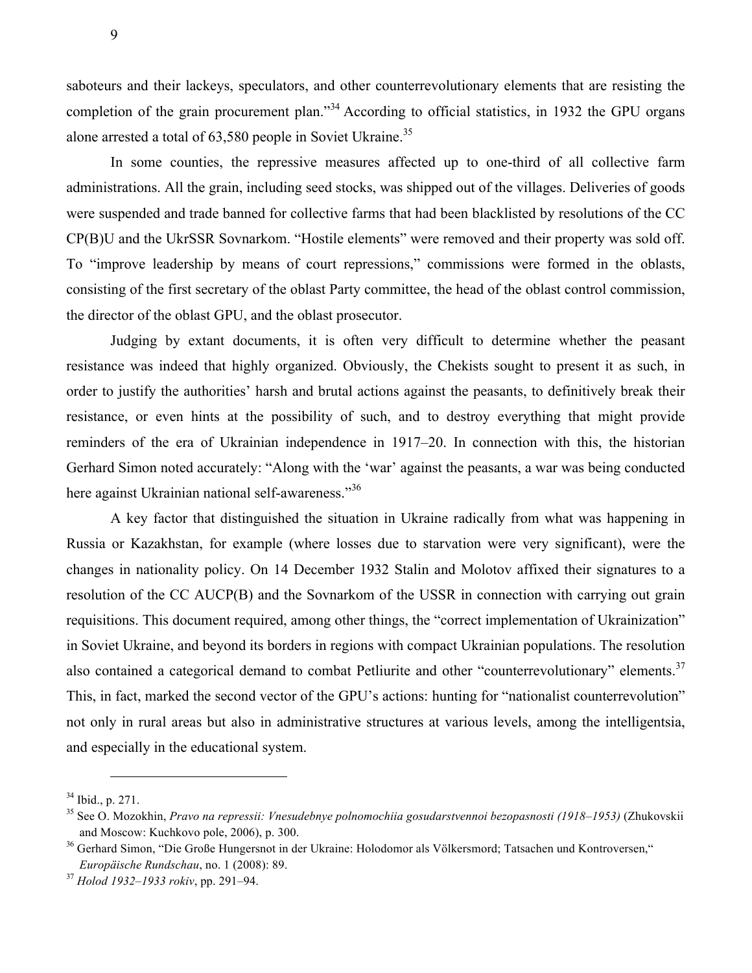saboteurs and their lackeys, speculators, and other counterrevolutionary elements that are resisting the completion of the grain procurement plan."<sup>34</sup> According to official statistics, in 1932 the GPU organs alone arrested a total of 63,580 people in Soviet Ukraine.<sup>35</sup>

In some counties, the repressive measures affected up to one-third of all collective farm administrations. All the grain, including seed stocks, was shipped out of the villages. Deliveries of goods were suspended and trade banned for collective farms that had been blacklisted by resolutions of the CC CP(B)U and the UkrSSR Sovnarkom. "Hostile elements" were removed and their property was sold off. To "improve leadership by means of court repressions," commissions were formed in the oblasts, consisting of the first secretary of the oblast Party committee, the head of the oblast control commission, the director of the oblast GPU, and the oblast prosecutor.

Judging by extant documents, it is often very difficult to determine whether the peasant resistance was indeed that highly organized. Obviously, the Chekists sought to present it as such, in order to justify the authorities' harsh and brutal actions against the peasants, to definitively break their resistance, or even hints at the possibility of such, and to destroy everything that might provide reminders of the era of Ukrainian independence in 1917–20. In connection with this, the historian Gerhard Simon noted accurately: "Along with the 'war' against the peasants, a war was being conducted here against Ukrainian national self-awareness."<sup>36</sup>

A key factor that distinguished the situation in Ukraine radically from what was happening in Russia or Kazakhstan, for example (where losses due to starvation were very significant), were the changes in nationality policy. On 14 December 1932 Stalin and Molotov affixed their signatures to a resolution of the CC AUCP(B) and the Sovnarkom of the USSR in connection with carrying out grain requisitions. This document required, among other things, the "correct implementation of Ukrainization" in Soviet Ukraine, and beyond its borders in regions with compact Ukrainian populations. The resolution also contained a categorical demand to combat Petliurite and other "counterrevolutionary" elements.<sup>37</sup> This, in fact, marked the second vector of the GPU's actions: hunting for "nationalist counterrevolution" not only in rural areas but also in administrative structures at various levels, among the intelligentsia, and especially in the educational system.

 $\overline{a}$ 

9

<sup>&</sup>lt;sup>34</sup> Ibid., p. 271.<br><sup>35</sup> See O. Mozokhin, *Pravo na repressii: Vnesudebnye polnomochiia gosudarstvennoi bezopasnosti (1918–1953)* (Zhukovskii and Moscow: Kuchkovo pole, 2006), p. 300.<br><sup>36</sup> Gerhard Simon, "Die Große Hungersnot in der Ukraine: Holodomor als Völkersmord; Tatsachen und Kontroversen,"

*Europäische Rundschau*, no. 1 (2008): 89. 37 *Holod 1932–1933 rokiv*, pp. 291–94.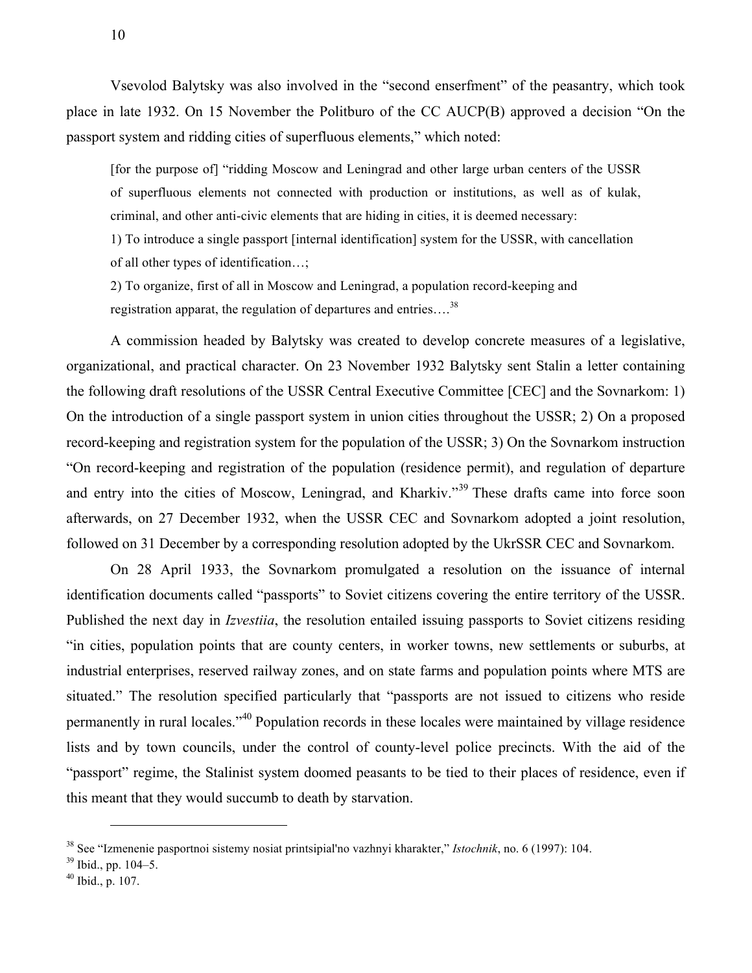Vsevolod Balytsky was also involved in the "second enserfment" of the peasantry, which took place in late 1932. On 15 November the Politburo of the CC AUCP(B) approved a decision "On the passport system and ridding cities of superfluous elements," which noted:

[for the purpose of] "ridding Moscow and Leningrad and other large urban centers of the USSR of superfluous elements not connected with production or institutions, as well as of kulak, criminal, and other anti-civic elements that are hiding in cities, it is deemed necessary:

1) To introduce a single passport [internal identification] system for the USSR, with cancellation of all other types of identification…;

2) To organize, first of all in Moscow and Leningrad, a population record-keeping and registration apparat, the regulation of departures and entries….<sup>38</sup>

A commission headed by Balytsky was created to develop concrete measures of a legislative, organizational, and practical character. On 23 November 1932 Balytsky sent Stalin a letter containing the following draft resolutions of the USSR Central Executive Committee [CEC] and the Sovnarkom: 1) On the introduction of a single passport system in union cities throughout the USSR; 2) On a proposed record-keeping and registration system for the population of the USSR; 3) On the Sovnarkom instruction "On record-keeping and registration of the population (residence permit), and regulation of departure and entry into the cities of Moscow, Leningrad, and Kharkiv."<sup>39</sup> These drafts came into force soon afterwards, on 27 December 1932, when the USSR CEC and Sovnarkom adopted a joint resolution, followed on 31 December by a corresponding resolution adopted by the UkrSSR CEC and Sovnarkom.

On 28 April 1933, the Sovnarkom promulgated a resolution on the issuance of internal identification documents called "passports" to Soviet citizens covering the entire territory of the USSR. Published the next day in *Izvestiia*, the resolution entailed issuing passports to Soviet citizens residing "in cities, population points that are county centers, in worker towns, new settlements or suburbs, at industrial enterprises, reserved railway zones, and on state farms and population points where MTS are situated." The resolution specified particularly that "passports are not issued to citizens who reside permanently in rural locales."<sup>40</sup> Population records in these locales were maintained by village residence lists and by town councils, under the control of county-level police precincts. With the aid of the "passport" regime, the Stalinist system doomed peasants to be tied to their places of residence, even if this meant that they would succumb to death by starvation.

<sup>38</sup> See "Izmenenie pasportnoi sistemy nosiat printsipial'no vazhnyi kharakter," *Istochnik*, no. 6 (1997): 104.

 $39$  Ibid., pp. 104–5.

 $40$  Ibid., p. 107.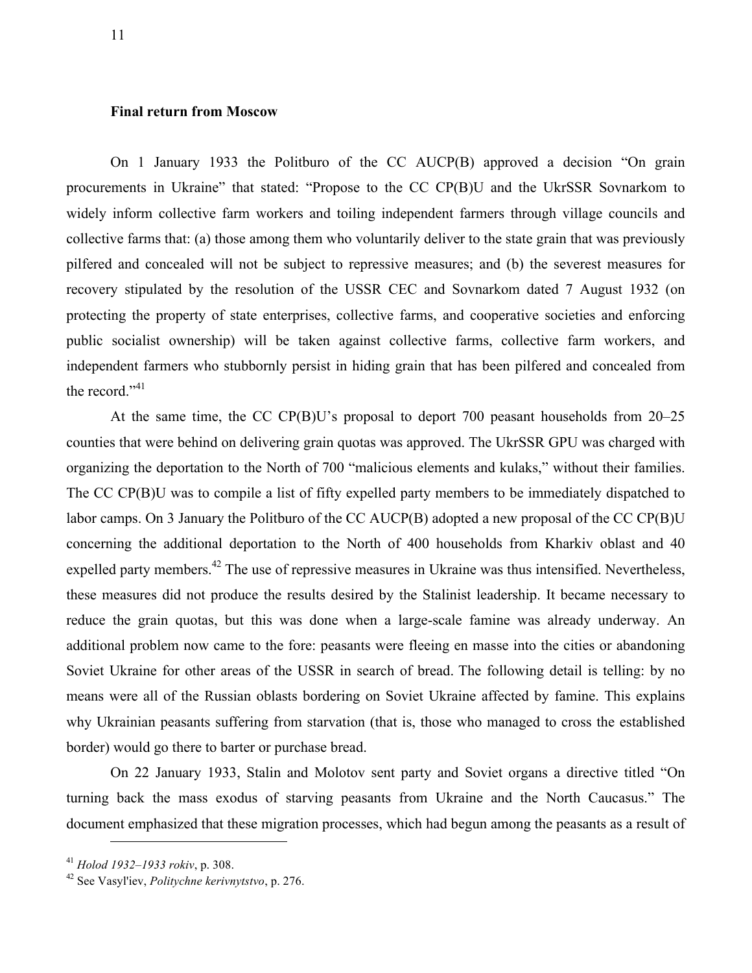## **Final return from Moscow**

On 1 January 1933 the Politburo of the CC AUCP(B) approved a decision "On grain procurements in Ukraine" that stated: "Propose to the CC CP(B)U and the UkrSSR Sovnarkom to widely inform collective farm workers and toiling independent farmers through village councils and collective farms that: (а) those among them who voluntarily deliver to the state grain that was previously pilfered and concealed will not be subject to repressive measures; and (b) the severest measures for recovery stipulated by the resolution of the USSR CEC and Sovnarkom dated 7 August 1932 (on protecting the property of state enterprises, collective farms, and cooperative societies and enforcing public socialist ownership) will be taken against collective farms, collective farm workers, and independent farmers who stubbornly persist in hiding grain that has been pilfered and concealed from the record."<sup>41</sup>

At the same time, the CC CP(B)U's proposal to deport 700 peasant households from 20–25 counties that were behind on delivering grain quotas was approved. The UkrSSR GPU was charged with organizing the deportation to the North of 700 "malicious elements and kulaks," without their families. The CC CP(B)U was to compile a list of fifty expelled party members to be immediately dispatched to labor camps. On 3 January the Politburo of the CC AUCP(B) adopted a new proposal of the CC CP(B)U concerning the additional deportation to the North of 400 households from Kharkiv oblast and 40 expelled party members.<sup>42</sup> The use of repressive measures in Ukraine was thus intensified. Nevertheless, these measures did not produce the results desired by the Stalinist leadership. It became necessary to reduce the grain quotas, but this was done when a large-scale famine was already underway. An additional problem now came to the fore: peasants were fleeing en masse into the cities or abandoning Soviet Ukraine for other areas of the USSR in search of bread. The following detail is telling: by no means were all of the Russian oblasts bordering on Soviet Ukraine affected by famine. This explains why Ukrainian peasants suffering from starvation (that is, those who managed to cross the established border) would go there to barter or purchase bread.

On 22 January 1933, Stalin and Molotov sent party and Soviet organs a directive titled "On turning back the mass exodus of starving peasants from Ukraine and the North Caucasus." The document emphasized that these migration processes, which had begun among the peasants as a result of

<sup>41</sup> *Holod 1932–1933 rokiv*, p. 308. 42 See Vasyl'iev, *Politychne kerivnytstvo*, p. 276.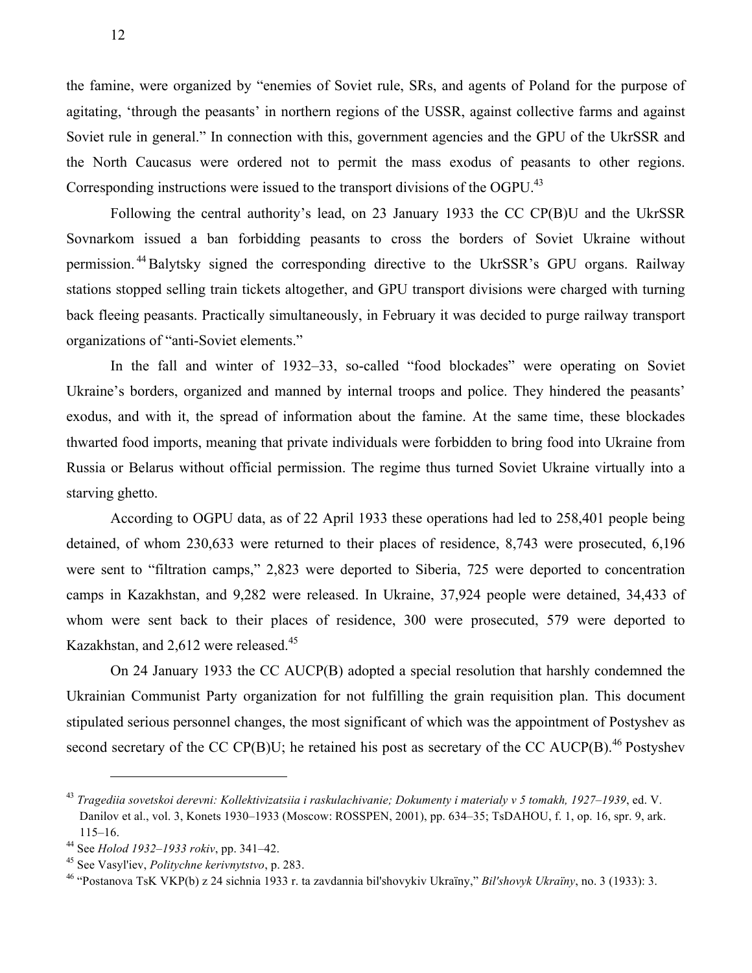the famine, were organized by "enemies of Soviet rule, SRs, and agents of Poland for the purpose of agitating, 'through the peasants' in northern regions of the USSR, against collective farms and against Soviet rule in general." In connection with this, government agencies and the GPU of the UkrSSR and the North Caucasus were ordered not to permit the mass exodus of peasants to other regions. Corresponding instructions were issued to the transport divisions of the OGPU.<sup>43</sup>

Following the central authority's lead, on 23 January 1933 the CC CP(B)U and the UkrSSR Sovnarkom issued a ban forbidding peasants to cross the borders of Soviet Ukraine without permission.<sup>44</sup>Balytsky signed the corresponding directive to the UkrSSR's GPU organs. Railway stations stopped selling train tickets altogether, and GPU transport divisions were charged with turning back fleeing peasants. Practically simultaneously, in February it was decided to purge railway transport organizations of "anti-Soviet elements."

In the fall and winter of 1932–33, so-called "food blockades" were operating on Soviet Ukraine's borders, organized and manned by internal troops and police. They hindered the peasants' exodus, and with it, the spread of information about the famine. At the same time, these blockades thwarted food imports, meaning that private individuals were forbidden to bring food into Ukraine from Russia or Belarus without official permission. The regime thus turned Soviet Ukraine virtually into a starving ghetto.

According to OGPU data, as of 22 April 1933 these operations had led to 258,401 people being detained, of whom 230,633 were returned to their places of residence, 8,743 were prosecuted, 6,196 were sent to "filtration camps," 2,823 were deported to Siberia, 725 were deported to concentration camps in Kazakhstan, and 9,282 were released. In Ukraine, 37,924 people were detained, 34,433 of whom were sent back to their places of residence, 300 were prosecuted, 579 were deported to Kazakhstan, and 2,612 were released.<sup>45</sup>

On 24 January 1933 the CC AUCP(B) adopted a special resolution that harshly condemned the Ukrainian Communist Party organization for not fulfilling the grain requisition plan. This document stipulated serious personnel changes, the most significant of which was the appointment of Postyshev as second secretary of the CC CP(B)U; he retained his post as secretary of the CC AUCP(B).<sup>46</sup> Postyshev

<sup>43</sup> *Tragediia sovetskoi derevni: Kollektivizatsiia i raskulachivanie; Dokumenty i materialy v 5 tomakh, 1927–1939*, ed. V. Danilov et al., vol. 3, Konets 1930–1933 (Moscow: ROSSPEN, 2001), pp. 634–35; TsDAHOU, f. 1, op. 16, spr. 9, ark. 115–16. 44 See *Holod 1932–1933 rokiv*, pp. 341–42. 45 See Vasyl'iev, *Politychne kerivnytstvo*, p. 283.

<sup>46</sup> "Postanova TsK VKP(b) z 24 sichnia 1933 r. ta zavdannia bil'shovykiv Ukraїny," *Bil'shovyk Ukraїny*, no. 3 (1933): 3.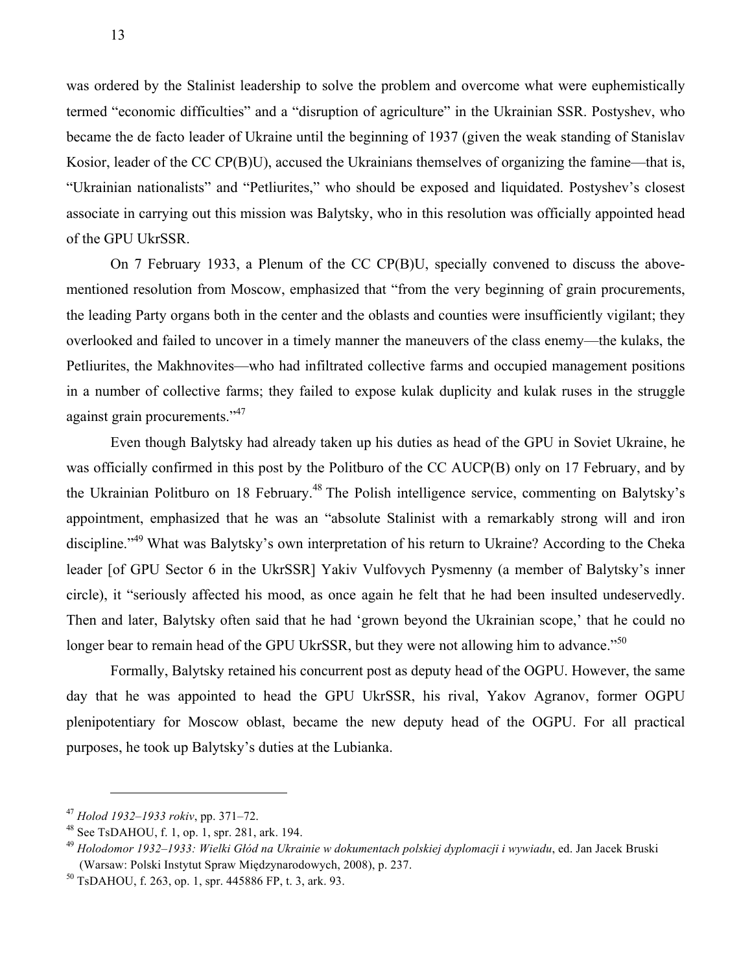was ordered by the Stalinist leadership to solve the problem and overcome what were euphemistically termed "economic difficulties" and a "disruption of agriculture" in the Ukrainian SSR. Postyshev, who became the de facto leader of Ukraine until the beginning of 1937 (given the weak standing of Stanislav Kosior, leader of the CC CP(B)U), accused the Ukrainians themselves of organizing the famine—that is, "Ukrainian nationalists" and "Petliurites," who should be exposed and liquidated. Postyshev's closest associate in carrying out this mission was Balytsky, who in this resolution was officially appointed head of the GPU UkrSSR.

On 7 February 1933, a Plenum of the CC CP(B)U, specially convened to discuss the abovementioned resolution from Moscow, emphasized that "from the very beginning of grain procurements, the leading Party organs both in the center and the oblasts and counties were insufficiently vigilant; they overlooked and failed to uncover in a timely manner the maneuvers of the class enemy—the kulaks, the Petliurites, the Makhnovites—who had infiltrated collective farms and occupied management positions in a number of collective farms; they failed to expose kulak duplicity and kulak ruses in the struggle against grain procurements."<sup>47</sup>

Even though Balytsky had already taken up his duties as head of the GPU in Soviet Ukraine, he was officially confirmed in this post by the Politburo of the CC AUCP(B) only on 17 February, and by the Ukrainian Politburo on 18 February.<sup>48</sup> The Polish intelligence service, commenting on Balytsky's appointment, emphasized that he was an "absolute Stalinist with a remarkably strong will and iron discipline."<sup>49</sup> What was Balytsky's own interpretation of his return to Ukraine? According to the Cheka leader [of GPU Sector 6 in the UkrSSR] Yakiv Vulfovych Pysmenny (a member of Balytsky's inner circle), it "seriously affected his mood, as once again he felt that he had been insulted undeservedly. Then and later, Balytsky often said that he had 'grown beyond the Ukrainian scope,' that he could no longer bear to remain head of the GPU UkrSSR, but they were not allowing him to advance.<sup>550</sup>

Formally, Balytsky retained his concurrent post as deputy head of the OGPU. However, the same day that he was appointed to head the GPU UkrSSR, his rival, Yakov Agranov, former OGPU plenipotentiary for Moscow oblast, became the new deputy head of the OGPU. For all practical purposes, he took up Balytsky's duties at the Lubianka.

<sup>47</sup> *Holod 1932–1933 rokiv*, pp. 371–72.

<sup>48</sup> See TsDAHOU, f. 1, op. 1, spr. 281, ark. 194.

<sup>49</sup> *Holodomor 1932–1933: Wielki Głód na Ukrainie w dokumentach polskiej dyplomacji i wywiadu*, ed. Jan Jacek Bruski (Warsaw: Polski Instytut Spraw Międzynarodowych, 2008), p. 237.

<sup>50</sup> TsDAHOU, f. 263, op. 1, spr. 445886 FP, t. 3, ark. 93.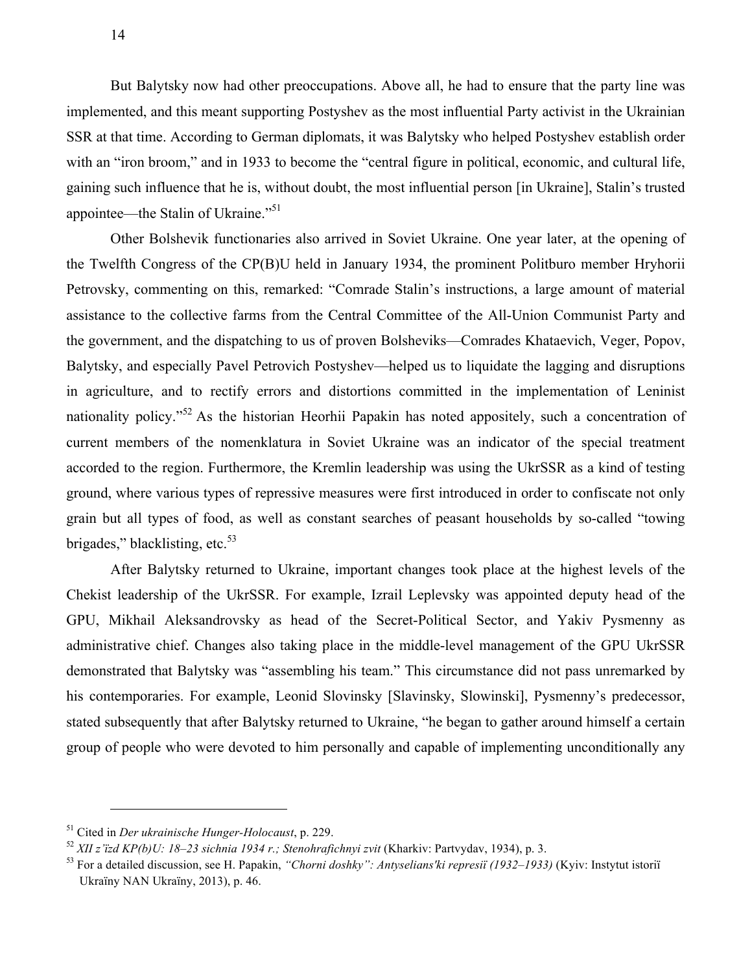But Balytsky now had other preoccupations. Above all, he had to ensure that the party line was implemented, and this meant supporting Postyshev as the most influential Party activist in the Ukrainian SSR at that time. According to German diplomats, it was Balytsky who helped Postyshev establish order with an "iron broom," and in 1933 to become the "central figure in political, economic, and cultural life, gaining such influence that he is, without doubt, the most influential person [in Ukraine], Stalin's trusted appointee—the Stalin of Ukraine."<sup>51</sup>

Other Bolshevik functionaries also arrived in Soviet Ukraine. One year later, at the opening of the Twelfth Congress of the CP(B)U held in January 1934, the prominent Politburo member Hryhorii Petrovsky, commenting on this, remarked: "Comrade Stalin's instructions, a large amount of material assistance to the collective farms from the Central Committee of the All-Union Communist Party and the government, and the dispatching to us of proven Bolsheviks—Comrades Khataevich, Veger, Popov, Balytsky, and especially Pavel Petrovich Postyshev—helped us to liquidate the lagging and disruptions in agriculture, and to rectify errors and distortions committed in the implementation of Leninist nationality policy."<sup>52</sup> As the historian Heorhii Papakin has noted appositely, such a concentration of current members of the nomenklatura in Soviet Ukraine was an indicator of the special treatment accorded to the region. Furthermore, the Kremlin leadership was using the UkrSSR as a kind of testing ground, where various types of repressive measures were first introduced in order to confiscate not only grain but all types of food, as well as constant searches of peasant households by so-called "towing brigades," blacklisting, etc. $53$ 

After Balytsky returned to Ukraine, important changes took place at the highest levels of the Chekist leadership of the UkrSSR. For example, Izrail Leplevsky was appointed deputy head of the GPU, Mikhail Aleksandrovsky as head of the Secret-Political Sector, and Yakiv Pysmenny as administrative chief. Changes also taking place in the middle-level management of the GPU UkrSSR demonstrated that Balytsky was "assembling his team." This circumstance did not pass unremarked by his contemporaries. For example, Leonid Slovinsky [Slavinsky, Slowinski], Pysmenny's predecessor, stated subsequently that after Balytsky returned to Ukraine, "he began to gather around himself a certain group of people who were devoted to him personally and capable of implementing unconditionally any

<sup>51</sup> Cited in *Der ukrainische Hunger-Holocaust*, p. 229.

<sup>52</sup> *ХІІ z'їzd KP(b)U: 18–23 sichnia 1934 r.; Stenohrafichnyi zvit* (Kharkiv: Partvydav, 1934), p. 3.

<sup>53</sup> For a detailed discussion, see H. Papakin, *"Chorni doshky": Antyselians'ki represiї (1932–1933)* (Kyiv: Instytut istoriї Ukraїny NAN Ukraїny, 2013), p. 46.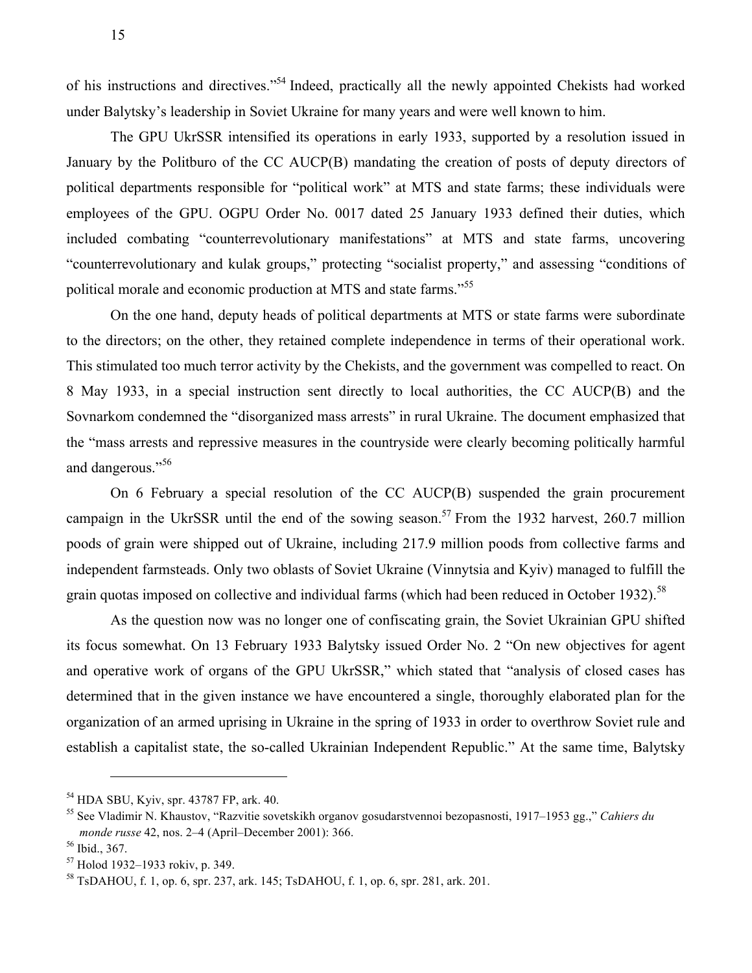of his instructions and directives."54 Indeed, practically all the newly appointed Chekists had worked under Balytsky's leadership in Soviet Ukraine for many years and were well known to him.

The GPU UkrSSR intensified its operations in early 1933, supported by a resolution issued in January by the Politburo of the CC AUCP(B) mandating the creation of posts of deputy directors of political departments responsible for "political work" at MTS and state farms; these individuals were employees of the GPU. OGPU Order No. 0017 dated 25 January 1933 defined their duties, which included combating "counterrevolutionary manifestations" at MTS and state farms, uncovering "counterrevolutionary and kulak groups," protecting "socialist property," and assessing "conditions of political morale and economic production at MTS and state farms."<sup>55</sup>

On the one hand, deputy heads of political departments at MTS or state farms were subordinate to the directors; on the other, they retained complete independence in terms of their operational work. This stimulated too much terror activity by the Chekists, and the government was compelled to react. On 8 May 1933, in a special instruction sent directly to local authorities, the CC AUCP(B) and the Sovnarkom condemned the "disorganized mass arrests" in rural Ukraine. The document emphasized that the "mass arrests and repressive measures in the countryside were clearly becoming politically harmful and dangerous."<sup>56</sup>

On 6 February a special resolution of the CC AUCP(B) suspended the grain procurement campaign in the UkrSSR until the end of the sowing season.<sup>57</sup> From the 1932 harvest, 260.7 million poods of grain were shipped out of Ukraine, including 217.9 million poods from collective farms and independent farmsteads. Only two oblasts of Soviet Ukraine (Vinnytsia and Kyiv) managed to fulfill the grain quotas imposed on collective and individual farms (which had been reduced in October 1932).<sup>58</sup>

As the question now was no longer one of confiscating grain, the Soviet Ukrainian GPU shifted its focus somewhat. On 13 February 1933 Balytsky issued Order No. 2 "On new objectives for agent and operative work of organs of the GPU UkrSSR," which stated that "analysis of closed cases has determined that in the given instance we have encountered a single, thoroughly elaborated plan for the organization of an armed uprising in Ukraine in the spring of 1933 in order to overthrow Soviet rule and establish a capitalist state, the so-called Ukrainian Independent Republic." At the same time, Balytsky

<sup>54</sup> HDA SBU, Kyiv, spr. 43787 FP, ark. 40.

<sup>55</sup> See Vladimir N. Khaustov, "Razvitie sovetskikh organov gosudarstvennoi bezopasnosti, 1917–1953 gg.," *Cahiers du monde russe* 42, nos. 2–4 (April–December 2001): 366.

<sup>56</sup> Ibid., 367.

<sup>57</sup> Holod 1932–1933 rokiv, p. 349.

<sup>58</sup> TsDAHOU, f. 1, op. 6, spr. 237, ark. 145; TsDAHOU, f. 1, op. 6, spr. 281, ark. 201.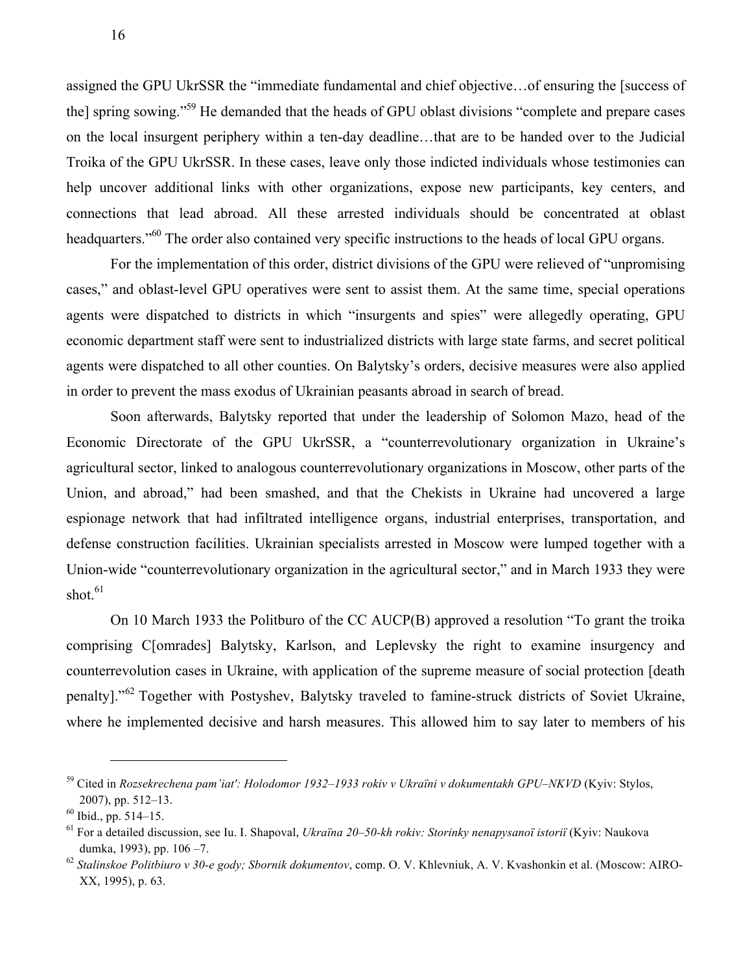assigned the GPU UkrSSR the "immediate fundamental and chief objective…of ensuring the [success of the] spring sowing."59 He demanded that the heads of GPU oblast divisions "complete and prepare cases on the local insurgent periphery within a ten-day deadline…that are to be handed over to the Judicial Troika of the GPU UkrSSR. In these cases, leave only those indicted individuals whose testimonies can help uncover additional links with other organizations, expose new participants, key centers, and connections that lead abroad. All these arrested individuals should be concentrated at oblast headquarters.<sup>"60</sup> The order also contained very specific instructions to the heads of local GPU organs.

For the implementation of this order, district divisions of the GPU were relieved of "unpromising cases," and oblast-level GPU operatives were sent to assist them. At the same time, special operations agents were dispatched to districts in which "insurgents and spies" were allegedly operating, GPU economic department staff were sent to industrialized districts with large state farms, and secret political agents were dispatched to all other counties. On Balytsky's orders, decisive measures were also applied in order to prevent the mass exodus of Ukrainian peasants abroad in search of bread.

Soon afterwards, Balytsky reported that under the leadership of Solomon Mazo, head of the Economic Directorate of the GPU UkrSSR, a "counterrevolutionary organization in Ukraine's agricultural sector, linked to analogous counterrevolutionary organizations in Moscow, other parts of the Union, and abroad," had been smashed, and that the Chekists in Ukraine had uncovered a large espionage network that had infiltrated intelligence organs, industrial enterprises, transportation, and defense construction facilities. Ukrainian specialists arrested in Moscow were lumped together with a Union-wide "counterrevolutionary organization in the agricultural sector," and in March 1933 they were shot. 61

On 10 March 1933 the Politburo of the CC AUCP(B) approved a resolution "To grant the troika comprising C[omrades] Balytsky, Karlson, and Leplevsky the right to examine insurgency and counterrevolution cases in Ukraine, with application of the supreme measure of social protection [death penalty]."<sup>62</sup> Together with Postyshev, Balytsky traveled to famine-struck districts of Soviet Ukraine, where he implemented decisive and harsh measures. This allowed him to say later to members of his

<sup>59</sup> Cited in *Rozsekrechena pam'iat': Holodomor 1932–1933 rokiv v Ukraїni v dokumentakh GPU–NKVD* (Kyiv: Stylos, 2007), pp. 512–13.<br><sup>60</sup> Ibid., pp. 514–15.<br><sup>61</sup> For a detailed discussion, see Iu. I. Shapoval, *Ukraïna 20–50-kh rokiv: Storinky nenapysanoï istoriï* (Kyiv: Naukova

dumka, 1993), pp. 106 –7.

<sup>62</sup> *Stalinskoe Politbiuro v 30-е gody; Sbornik dokumentov*, comp. O. V. Khlevniuk, A. V. Kvashonkin et al. (Moscow: AIRO-XX, 1995), p. 63.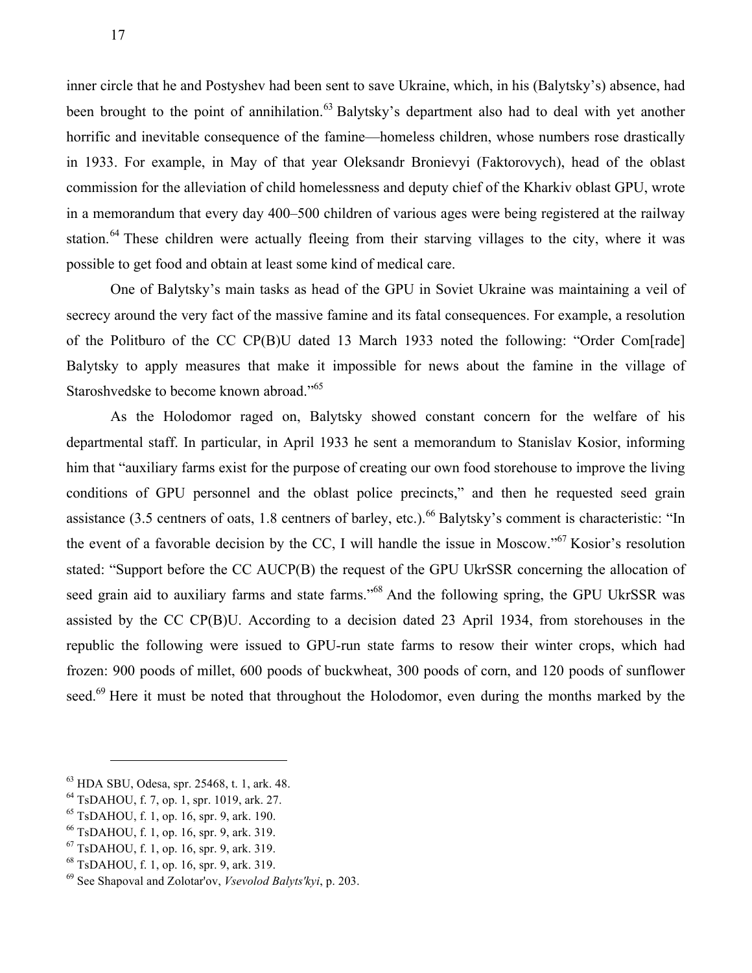inner circle that he and Postyshev had been sent to save Ukraine, which, in his (Balytsky's) absence, had been brought to the point of annihilation.<sup>63</sup> Balytsky's department also had to deal with yet another horrific and inevitable consequence of the famine—homeless children, whose numbers rose drastically in 1933. For example, in May of that year Oleksandr Bronievyi (Faktorovych), head of the oblast commission for the alleviation of child homelessness and deputy chief of the Kharkiv oblast GPU, wrote in a memorandum that every day 400–500 children of various ages were being registered at the railway station.<sup>64</sup> These children were actually fleeing from their starving villages to the city, where it was possible to get food and obtain at least some kind of medical care.

One of Balytsky's main tasks as head of the GPU in Soviet Ukraine was maintaining a veil of secrecy around the very fact of the massive famine and its fatal consequences. For example, a resolution of the Politburo of the CC CP(B)U dated 13 March 1933 noted the following: "Order Com[rade] Balytsky to apply measures that make it impossible for news about the famine in the village of Staroshvedske to become known abroad."<sup>65</sup>

As the Holodomor raged on, Balytsky showed constant concern for the welfare of his departmental staff. In particular, in April 1933 he sent a memorandum to Stanislav Kosior, informing him that "auxiliary farms exist for the purpose of creating our own food storehouse to improve the living conditions of GPU personnel and the oblast police precincts," and then he requested seed grain assistance (3.5 centners of oats, 1.8 centners of barley, etc.).<sup>66</sup> Balytsky's comment is characteristic: "In the event of a favorable decision by the CC, I will handle the issue in Moscow."<sup>67</sup> Kosior's resolution stated: "Support before the CC AUCP(B) the request of the GPU UkrSSR concerning the allocation of seed grain aid to auxiliary farms and state farms."<sup>68</sup> And the following spring, the GPU UkrSSR was assisted by the CC CP(B)U. According to a decision dated 23 April 1934, from storehouses in the republic the following were issued to GPU-run state farms to resow their winter crops, which had frozen: 900 poods of millet, 600 poods of buckwheat, 300 poods of corn, and 120 poods of sunflower seed.<sup>69</sup> Here it must be noted that throughout the Holodomor, even during the months marked by the

<sup>&</sup>lt;sup>63</sup> HDA SBU, Odesa, spr. 25468, t. 1, ark. 48.<br><sup>64</sup> TsDAHOU, f. 7, op. 1, spr. 1019, ark. 27.<br><sup>65</sup> TsDAHOU, f. 1, op. 16, spr. 9, ark. 190.<br><sup>66</sup> TsDAHOU, f. 1, op. 16, spr. 9, ark. 319.<br><sup>67</sup> TsDAHOU, f. 1, op. 16, spr. 9

<sup>69</sup> See Shapoval and Zolotar'ov, *Vsevolod Balyts'kyi*, p. 203.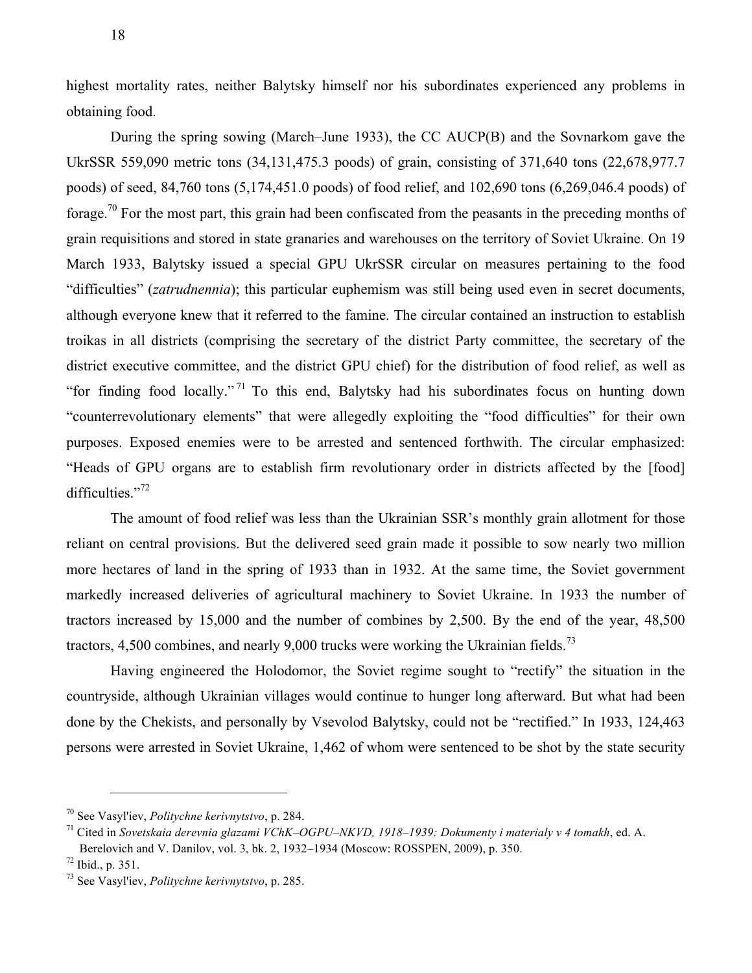highest mortality rates, neither Balytsky himself nor his subordinates experienced any problems in obtaining food.

During the spring sowing (March–June 1933), the CC AUCP(B) and the Sovnarkom gave the UkrSSR 559,090 metric tons (34,131,475.3 poods) of grain, consisting of 371,640 tons (22,678,977.7 poods) of seed, 84,760 tons (5,174,451.0 poods) of food relief, and 102,690 tons (6,269,046.4 poods) of forage.<sup>70</sup> For the most part, this grain had been confiscated from the peasants in the preceding months of grain requisitions and stored in state granaries and warehouses on the territory of Soviet Ukraine. On 19 March 1933, Balytsky issued a special GPU UkrSSR circular on measures pertaining to the food "difficulties" (*zatrudnennia*); this particular euphemism was still being used even in secret documents, although everyone knew that it referred to the famine. The circular contained an instruction to establish troikas in all districts (comprising the secretary of the district Party committee, the secretary of the district executive committee, and the district GPU chief) for the distribution of food relief, as well as "for finding food locally." <sup>71</sup> To this end, Balytsky had his subordinates focus on hunting down "counterrevolutionary elements" that were allegedly exploiting the "food difficulties" for their own purposes. Exposed enemies were to be arrested and sentenced forthwith. The circular emphasized: "Heads of GPU organs are to establish firm revolutionary order in districts affected by the [food] difficulties."<sup>72</sup>

The amount of food relief was less than the Ukrainian SSR's monthly grain allotment for those reliant on central provisions. But the delivered seed grain made it possible to sow nearly two million more hectares of land in the spring of 1933 than in 1932. At the same time, the Soviet government markedly increased deliveries of agricultural machinery to Soviet Ukraine. In 1933 the number of tractors increased by 15,000 and the number of combines by 2,500. By the end of the year, 48,500 tractors, 4,500 combines, and nearly 9,000 trucks were working the Ukrainian fields.<sup>73</sup>

Having engineered the Holodomor, the Soviet regime sought to "rectify" the situation in the countryside, although Ukrainian villages would continue to hunger long afterward. But what had been done by the Chekists, and personally by Vsevolod Balytsky, could not be "rectified." In 1933, 124,463 persons were arrested in Soviet Ukraine, 1,462 of whom were sentenced to be shot by the state security

<sup>70</sup> See Vasyl'iev, *Politychne kerivnytstvo*, p. 284.

<sup>71</sup> Cited in *Sovetskaia derevnia glazami VChK–OGPU–NKVD, 1918–1939: Dokumenty i materialy v 4 tomakh*, ed. A. Berelovich and V. Danilov, vol. 3, bk. 2, 1932–1934 (Moscow: ROSSPEN, 2009), p. 350.

<sup>&</sup>lt;sup>72</sup> Ibid., p. 351.<br><sup>73</sup> See Vasyl'iev. *Politychne kerivnytstvo*, p. 285.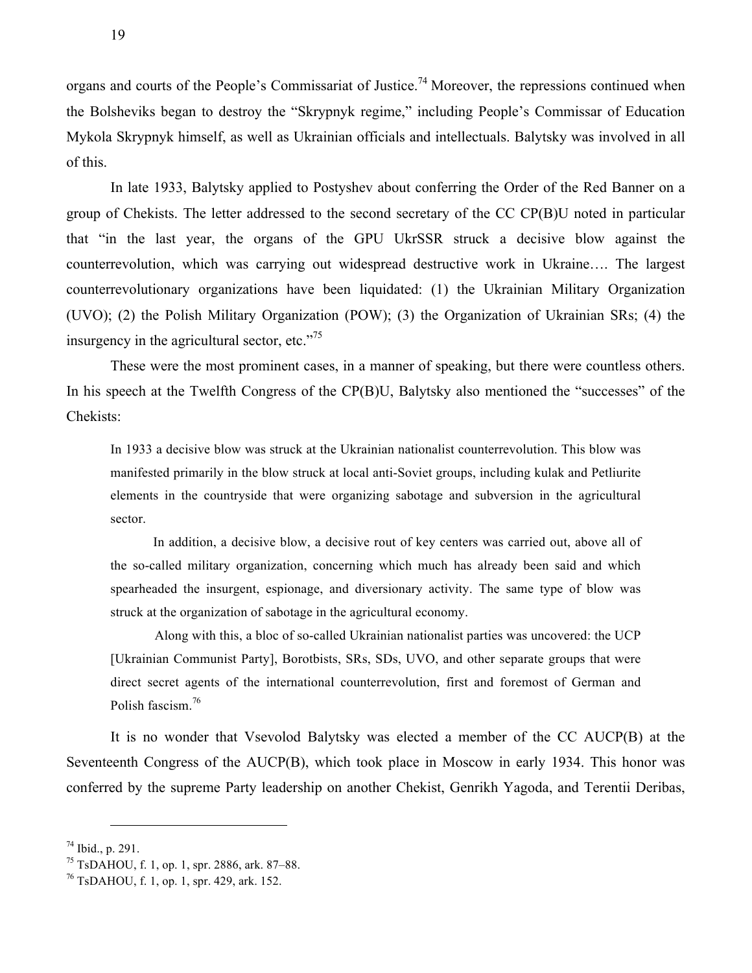organs and courts of the People's Commissariat of Justice.<sup>74</sup> Moreover, the repressions continued when the Bolsheviks began to destroy the "Skrypnyk regime," including People's Commissar of Education Mykola Skrypnyk himself, as well as Ukrainian officials and intellectuals. Balytsky was involved in all of this.

In late 1933, Balytsky applied to Postyshev about conferring the Order of the Red Banner on a group of Chekists. The letter addressed to the second secretary of the CC CP(B)U noted in particular that "in the last year, the organs of the GPU UkrSSR struck a decisive blow against the counterrevolution, which was carrying out widespread destructive work in Ukraine…. The largest counterrevolutionary organizations have been liquidated: (1) the Ukrainian Military Organization (UVO); (2) the Polish Military Organization (POW); (3) the Organization of Ukrainian SRs; (4) the insurgency in the agricultural sector, etc."<sup>75</sup>

These were the most prominent cases, in a manner of speaking, but there were countless others. In his speech at the Twelfth Congress of the CP(B)U, Balytsky also mentioned the "successes" of the Chekists:

In 1933 a decisive blow was struck at the Ukrainian nationalist counterrevolution. This blow was manifested primarily in the blow struck at local anti-Soviet groups, including kulak and Petliurite elements in the countryside that were organizing sabotage and subversion in the agricultural sector.

In addition, a decisive blow, a decisive rout of key centers was carried out, above all of the so-called military organization, concerning which much has already been said and which spearheaded the insurgent, espionage, and diversionary activity. The same type of blow was struck at the organization of sabotage in the agricultural economy.

Along with this, a bloc of so-called Ukrainian nationalist parties was uncovered: the UCP [Ukrainian Communist Party], Borotbists, SRs, SDs, UVO, and other separate groups that were direct secret agents of the international counterrevolution, first and foremost of German and Polish fascism.<sup>76</sup>

It is no wonder that Vsevolod Balytsky was elected a member of the CC AUCP(B) at the Seventeenth Congress of the AUCP(B), which took place in Moscow in early 1934. This honor was conferred by the supreme Party leadership on another Chekist, Genrikh Yagoda, and Terentii Deribas,

<sup>&</sup>lt;sup>74</sup> Ibid., p. 291.<br><sup>75</sup> TsDAHOU, f. 1, op. 1, spr. 2886, ark. 87–88.<br><sup>76</sup> TsDAHOU, f. 1, op. 1, spr. 429, ark. 152.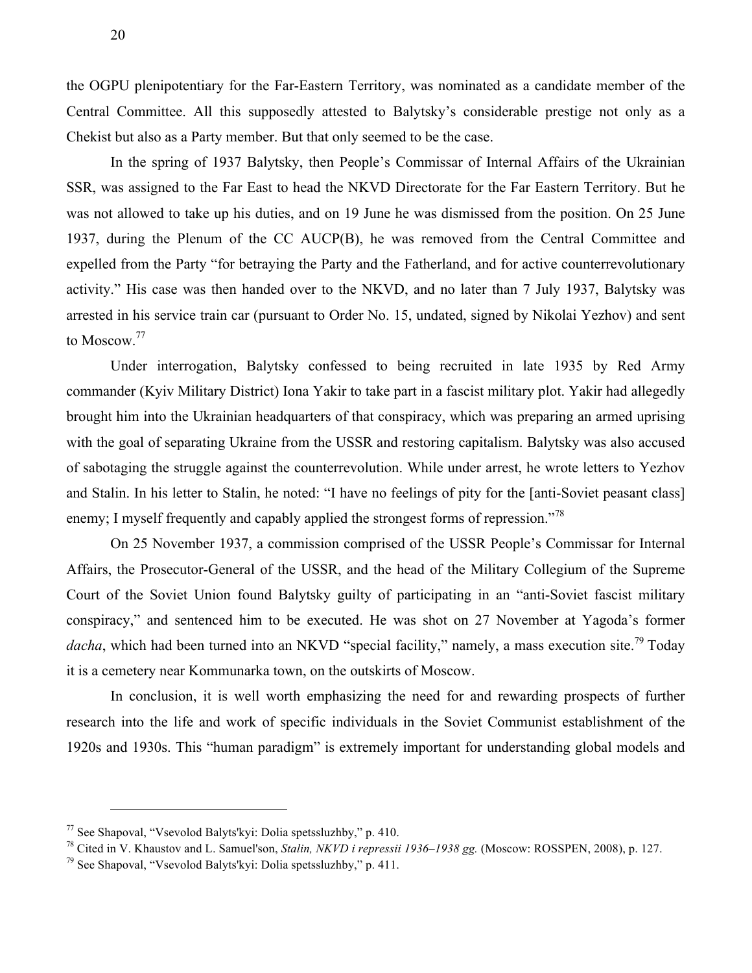the OGPU plenipotentiary for the Far-Eastern Territory, was nominated as a candidate member of the Central Committee. All this supposedly attested to Balytsky's considerable prestige not only as a Chekist but also as a Party member. But that only seemed to be the case.

In the spring of 1937 Balytsky, then People's Commissar of Internal Affairs of the Ukrainian SSR, was assigned to the Far East to head the NKVD Directorate for the Far Eastern Territory. But he was not allowed to take up his duties, and on 19 June he was dismissed from the position. On 25 June 1937, during the Plenum of the CC AUCP(B), he was removed from the Central Committee and expelled from the Party "for betraying the Party and the Fatherland, and for active counterrevolutionary activity." His case was then handed over to the NKVD, and no later than 7 July 1937, Balytsky was arrested in his service train car (pursuant to Order No. 15, undated, signed by Nikolai Yezhov) and sent to Moscow.<sup>77</sup>

Under interrogation, Balytsky confessed to being recruited in late 1935 by Red Army commander (Kyiv Military District) Iona Yakir to take part in a fascist military plot. Yakir had allegedly brought him into the Ukrainian headquarters of that conspiracy, which was preparing an armed uprising with the goal of separating Ukraine from the USSR and restoring capitalism. Balytsky was also accused of sabotaging the struggle against the counterrevolution. While under arrest, he wrote letters to Yezhov and Stalin. In his letter to Stalin, he noted: "I have no feelings of pity for the [anti-Soviet peasant class] enemy; I myself frequently and capably applied the strongest forms of repression."<sup>78</sup>

On 25 November 1937, a commission comprised of the USSR People's Commissar for Internal Affairs, the Prosecutor-General of the USSR, and the head of the Military Collegium of the Supreme Court of the Soviet Union found Balytsky guilty of participating in an "anti-Soviet fascist military conspiracy," and sentenced him to be executed. He was shot on 27 November at Yagoda's former dacha, which had been turned into an NKVD "special facility," namely, a mass execution site.<sup>79</sup> Today it is a cemetery near Kommunarka town, on the outskirts of Moscow.

In conclusion, it is well worth emphasizing the need for and rewarding prospects of further research into the life and work of specific individuals in the Soviet Communist establishment of the 1920s and 1930s. This "human paradigm" is extremely important for understanding global models and

<sup>&</sup>lt;sup>77</sup> See Shapoval, "Vsevolod Balyts'kyi: Dolia spetssluzhby," p. 410.<br><sup>78</sup> Cited in V. Khaustov and L. Samuel'son, *Stalin, NKVD i repressii 1936–1938 gg.* (Moscow: ROSSPEN, 2008), p. 127.

 $^{79}$  See Shapoval, "Vsevolod Balyts'kyi: Dolia spetssluzhby," p. 411.